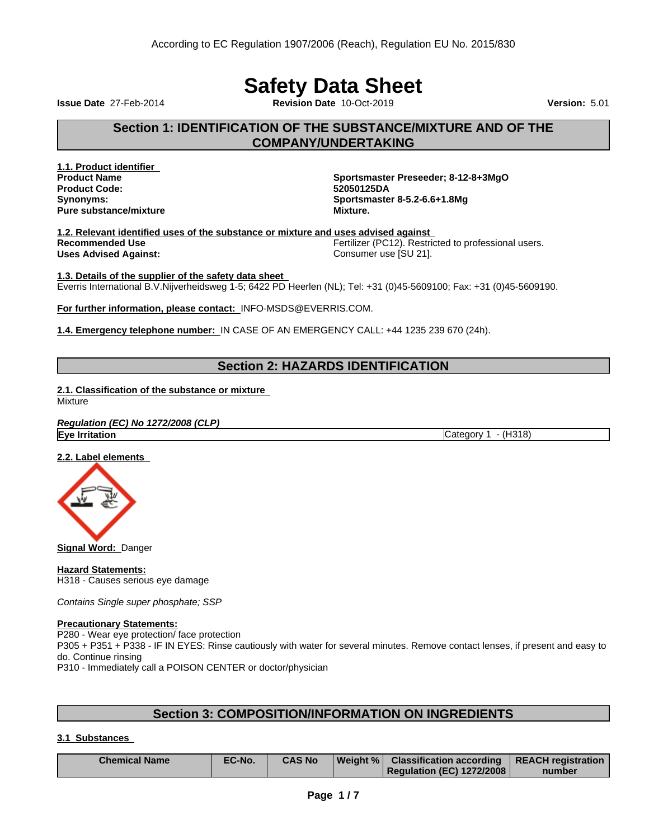# **Safety Data Sheet**

**Issue Date** 27-Feb-2014 **Revision Date** 10-Oct-2019 **Version:** 5.01

## **Section 1: IDENTIFICATION OF THE SUBSTANCE/MIXTURE AND OF THE COMPANY/UNDERTAKING**

**1.1. Product identifier Product Code: Pure** substance/mixture **Mixture.** 

**Product Name Sportsmaster Preseeder; 8-12-8+3MgO Synonyms: Sportsmaster 8-5.2-6.6+1.8Mg**

**1.2. Relevant identified uses of the substance or mixture and uses advised against Recommended Use** Fertilizer (PC12). Restricted to professional users. **Uses Advised Against:** Consumer use [SU 21].

**1.3. Details of the supplier of the safety data sheet** Everris International B.V.Nijverheidsweg 1-5; 6422 PD Heerlen (NL); Tel: +31 (0)45-5609100; Fax: +31 (0)45-5609190.

**For further information, please contact:** INFO-MSDS@EVERRIS.COM.

**1.4. Emergency telephone number:**IN CASE OF AN EMERGENCY CALL: +44 1235 239 670 (24h).

## **Section 2: HAZARDS IDENTIFICATION**

**2.1. Classification of the substance or mixture**

Mixture

*Regulation (EC) No 1272/2008 (CLP)* **Eye Irritation** Category 1 - (H318)

**2.2. Label elements**



**Signal Word:** Danger

**Hazard Statements:** H318 - Causes serious eye damage

*Contains Single super phosphate; SSP*

#### **Precautionary Statements:**

P280 - Wear eye protection/ face protection

P305 + P351 + P338 - IF IN EYES: Rinse cautiously with water forseveral minutes. Remove contact lenses, if present and easy to do. Continue rinsing

P310 - Immediately call a POISON CENTER or doctor/physician

## **Section 3: COMPOSITION/INFORMATION ON INGREDIENTS**

## **3.1 Substances**

| <b>Chemical Name</b> | EC-No. | CAS No | Weight % | Classification according   REACH registration |        |
|----------------------|--------|--------|----------|-----------------------------------------------|--------|
|                      |        |        |          | Regulation (EC) 1272/2008                     | number |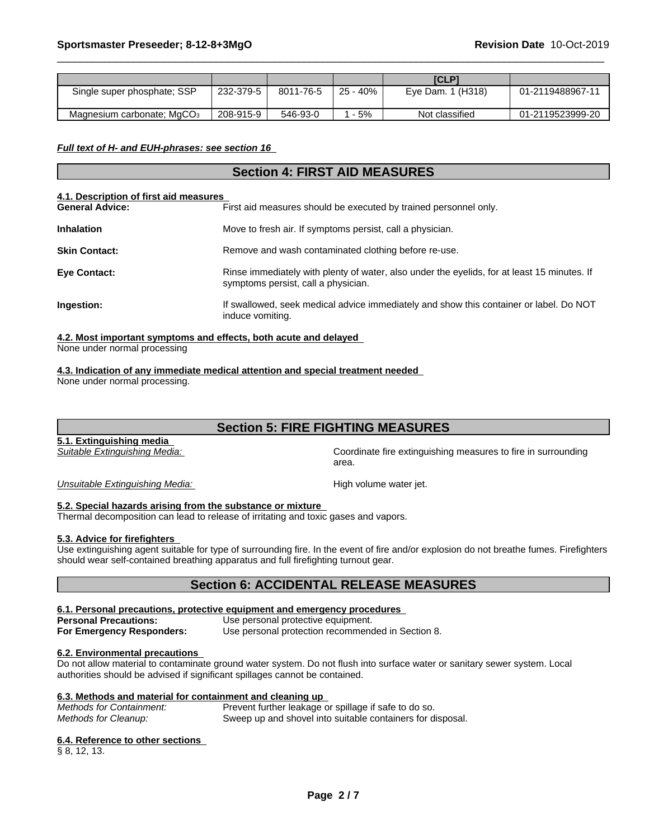|                                        |           |           |          | <b>ICLP1</b>      |                  |
|----------------------------------------|-----------|-----------|----------|-------------------|------------------|
| Single super phosphate; SSP            | 232-379-5 | 8011-76-5 | 25 - 40% | Eye Dam. 1 (H318) | 01-2119488967-11 |
| Magnesium carbonate; MgCO <sub>3</sub> | 208-915-9 | 546-93-0  | $-5%$    | Not classified    | 01-2119523999-20 |

*Full text of H- and EUH-phrases: see section 16*

## **Section 4: FIRST AID MEASURES**

#### **4.1. Description of first aid measures**

| <b>General Advice:</b> | First aid measures should be executed by trained personnel only.                                                                   |
|------------------------|------------------------------------------------------------------------------------------------------------------------------------|
| <b>Inhalation</b>      | Move to fresh air. If symptoms persist, call a physician.                                                                          |
| <b>Skin Contact:</b>   | Remove and wash contaminated clothing before re-use.                                                                               |
| <b>Eye Contact:</b>    | Rinse immediately with plenty of water, also under the eyelids, for at least 15 minutes. If<br>symptoms persist, call a physician. |
| Ingestion:             | If swallowed, seek medical advice immediately and show this container or label. Do NOT<br>induce vomiting.                         |
|                        |                                                                                                                                    |

## **4.2. Most important symptoms and effects, both acute and delayed**

None under normal processing

## **4.3. Indication of any immediate medical attention and special treatment needed**

None under normal processing.

## **Section 5: FIRE FIGHTING MEASURES**

**5.1. Extinguishing media**

*Suitable Extinguishing Media:* Coordinate fire extinguishing measures to fire in surrounding area.

**Unsuitable Extinguishing Media: High volume water jet. High volume water jet.** 

## **5.2. Special hazards arising from the substance or mixture**

Thermal decomposition can lead to release of irritating and toxic gases and vapors.

## **5.3. Advice for firefighters**

Use extinguishing agent suitable for type of surrounding fire. In the event of fire and/or explosion do not breathe fumes. Firefighters should wear self-contained breathing apparatus and full firefighting turnout gear.

## **Section 6: ACCIDENTAL RELEASE MEASURES**

## **6.1. Personal precautions, protective equipment and emergency procedures**

**Personal Precautions:** Use personal protective equipment.

**For Emergency Responders:** Use personal protection recommended in Section 8.

## **6.2. Environmental precautions**

Do not allow material to contaminate ground water system. Do not flush into surface water or sanitary sewer system. Local authorities should be advised if significant spillages cannot be contained.

## **6.3. Methods and material for containment and cleaning up**

| Methods for Containment: | Prevent further leakage or spillage if safe to do so.      |
|--------------------------|------------------------------------------------------------|
| Methods for Cleanup:     | Sweep up and shovel into suitable containers for disposal. |

#### **6.4. Reference to other sections**

§ 8, 12, 13.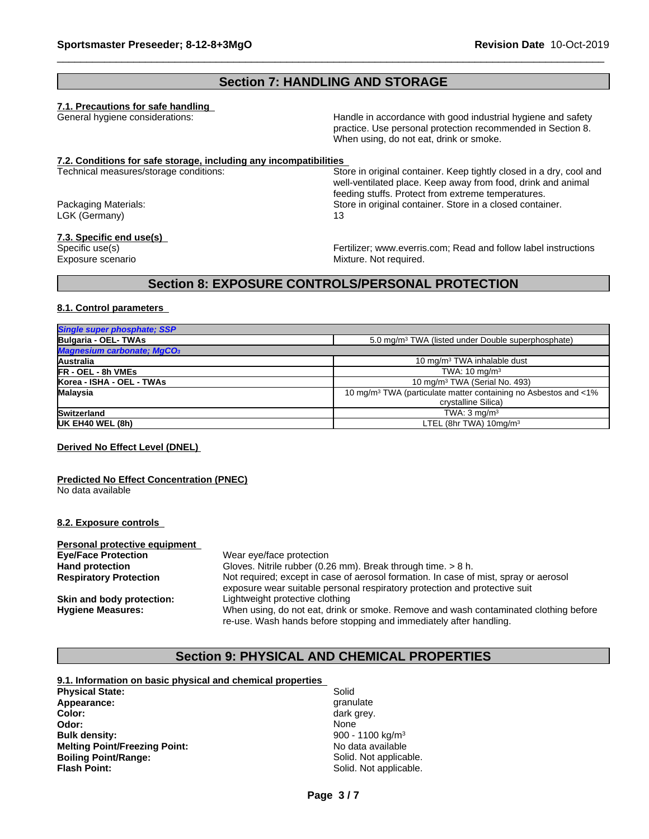## **Section 7: HANDLING AND STORAGE**

## **7.1. Precautions for safe handling**

General hygiene considerations: Handle in accordance with good industrial hygiene and safety practice. Use personal protection recommended in Section 8. When using, do not eat, drink or smoke.

# **7.2. Conditions for safe storage, including any incompatibilities**

LGK (Germany) 13

#### **7.3. Specific end use(s)**

Store in original container. Keep tightly closed in a dry, cool and well-ventilated place. Keep away from food, drink and animal feeding stuffs. Protect from extreme temperatures. Packaging Materials: Store in original container. Store in a closed container.

Specific use(s) Fertilizer; www.everris.com; Read and follow label instructions Exposure scenario **Exposure** Scenario **Mixture.** Not required.

# **Section 8: EXPOSURE CONTROLS/PERSONAL PROTECTION**

## **8.1. Control parameters**

| Single super phosphate; SSP            |                                                                             |
|----------------------------------------|-----------------------------------------------------------------------------|
| Bulgaria - OEL-TWAs                    | 5.0 mg/m <sup>3</sup> TWA (listed under Double superphosphate)              |
| Magnesium carbonate; MgCO <sub>3</sub> |                                                                             |
| Australia                              | 10 mg/m <sup>3</sup> TWA inhalable dust                                     |
| <b>FR - OEL - 8h VMEs</b>              | TWA: $10 \text{ ma/m}^3$                                                    |
| Korea - ISHA - OEL - TWAs              | 10 mg/m <sup>3</sup> TWA (Serial No. 493)                                   |
| Malaysia                               | 10 mg/m <sup>3</sup> TWA (particulate matter containing no Asbestos and <1% |
|                                        | crystalline Silica)                                                         |
| Switzerland                            | TWA: $3 \text{ ma/m}^3$                                                     |
| UK EH40 WEL (8h)                       | LTEL (8hr TWA) $10\,\text{mg/m}^3$                                          |
|                                        |                                                                             |

## **Derived No Effect Level (DNEL)**

#### **Predicted No Effect Concentration (PNEC)** No data available

## **8.2. Exposure controls**

| Personal protective equipment |                                                                                      |
|-------------------------------|--------------------------------------------------------------------------------------|
| <b>Eye/Face Protection</b>    | Wear eye/face protection                                                             |
| <b>Hand protection</b>        | Gloves. Nitrile rubber (0.26 mm). Break through time. > 8 h.                         |
| <b>Respiratory Protection</b> | Not required; except in case of aerosol formation. In case of mist, spray or aerosol |
|                               | exposure wear suitable personal respiratory protection and protective suit           |
| Skin and body protection:     | Lightweight protective clothing                                                      |
| <b>Hygiene Measures:</b>      | When using, do not eat, drink or smoke. Remove and wash contaminated clothing before |
|                               | re-use. Wash hands before stopping and immediately after handling.                   |

## **Section 9: PHYSICAL AND CHEMICAL PROPERTIES**

## **9.1. Information on basic physical and chemical properties Physical State:** Solid and Solid State: Solid State: Solid and Solid Solid Solid and Solid Solid State: Solid and Solid State State State State State State State State State State State State State State State State State Appearance: **Color:** dark grey.

**Odor:** None **None** *None* None **None** None **None** None **None** None **None** None **None** None **None** None **None** None **None** None **None** None **None** None **None** None **None** None **None** None **None** None **None** None **None** Non **Bulk density:** 900 - 1100 kg/m<sup>3</sup> **Melting Point/Freezing Point: Boiling Point/Range:** Solid. Not applicable.<br> **Flash Point:** Solid. Not applicable.<br>
Solid. Not applicable.

Solid. Not applicable.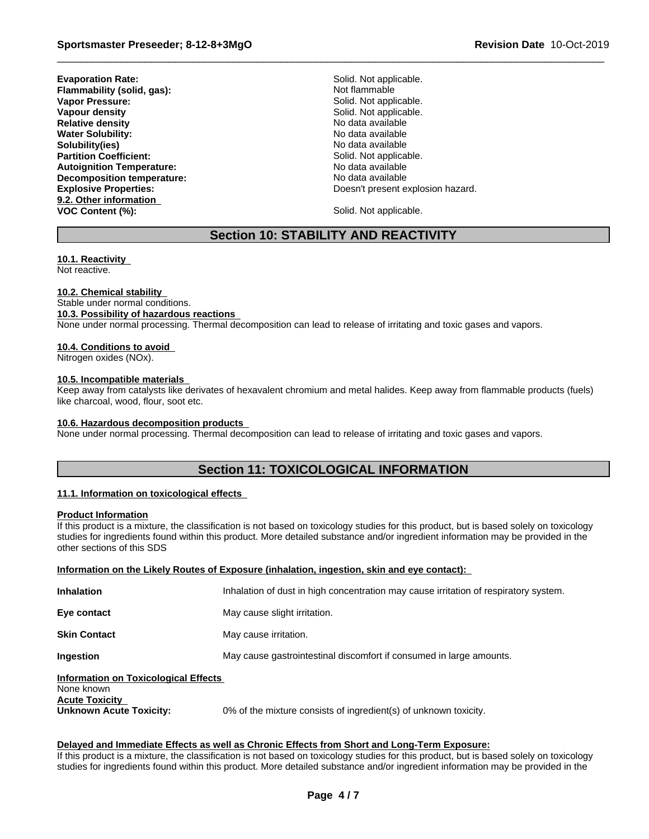**Evaporation Rate:** Solid. Not applicable. **Flammability (solid, gas):** Not flammable **Vapor Pressure:** The Solid Mot applicable. **Vapour density Solid.** Not applicable. **Relative density No data available Relative density No data available Water Solubility:** No data available **Solubility(ies)**<br> **Partition Coefficient:**<br> **Partition Coefficient:**<br> **Partition Coefficient: Partition Coefficient: Autoignition Temperature:** No data available **Decomposition temperature:** No data available **9.2. Other information VOC Content (%):** Solid. Not applicable.

**Explosive Properties:** Doesn't present explosion hazard.

## **Section 10: STABILITY AND REACTIVITY**

## **10.1. Reactivity**

Not reactive.

## **10.2. Chemical stability**

Stable under normal conditions. **10.3. Possibility of hazardous reactions** None under normal processing. Thermal decomposition can lead to release of irritating and toxic gases and vapors.

## **10.4. Conditions to avoid**

Nitrogen oxides (NOx).

## **10.5. Incompatible materials**

Keep away from catalysts like derivates of hexavalent chromium and metal halides. Keep away from flammable products (fuels) like charcoal, wood, flour, soot etc.

#### **10.6. Hazardous decomposition products**

None under normal processing. Thermal decomposition can lead to release of irritating and toxic gases and vapors.

# **Section 11: TOXICOLOGICAL INFORMATION**

## **11.1. Information on toxicologicaleffects**

## **Product Information**

If this product is a mixture, the classification is not based on toxicology studies for this product, but is based solely on toxicology studies for ingredients found within this product. More detailed substance and/or ingredient information may be provided in the other sections of this SDS

| Information on the Likely Routes of Exposure (inhalation, ingestion, skin and eye contact): |                                                                                      |  |  |
|---------------------------------------------------------------------------------------------|--------------------------------------------------------------------------------------|--|--|
| Inhalation                                                                                  | Inhalation of dust in high concentration may cause irritation of respiratory system. |  |  |
| Eye contact                                                                                 | May cause slight irritation.                                                         |  |  |
| <b>Skin Contact</b>                                                                         | May cause irritation.                                                                |  |  |
| Ingestion                                                                                   | May cause gastrointestinal discomfort if consumed in large amounts.                  |  |  |
| <b>Information on Toxicological Effects</b>                                                 |                                                                                      |  |  |

# None known **Acute Toxicity<br>Unknown Acute Toxicity:**

0% of the mixture consists of ingredient(s) of unknown toxicity.

## **Delayed and Immediate Effects as well as Chronic Effects from Short and Long-Term Exposure:**

If this product is a mixture, the classification is not based on toxicology studies for this product, but is based solely on toxicology studies for ingredients found within this product. More detailed substance and/or ingredient information may be provided in the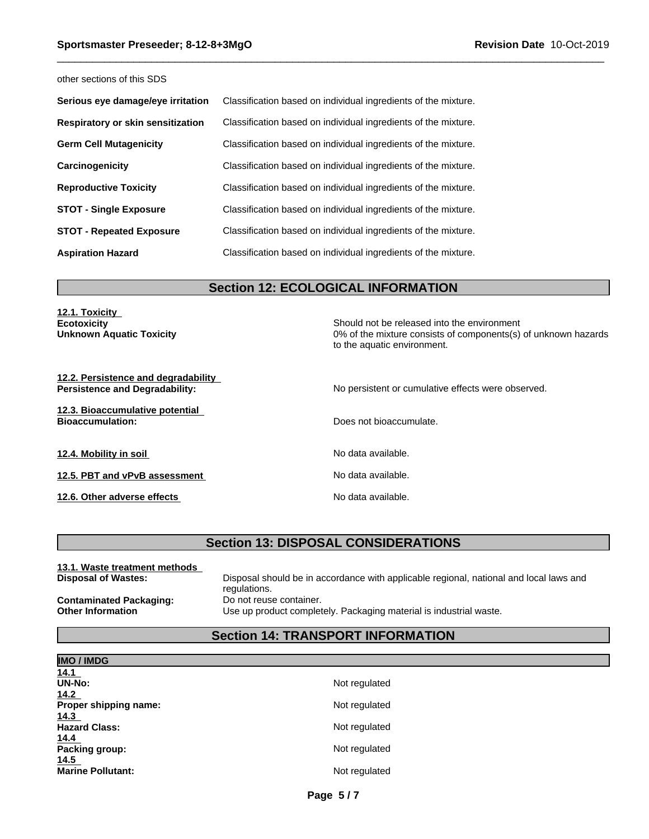other sections of this SDS

| Serious eye damage/eye irritation | Classification based on individual ingredients of the mixture. |
|-----------------------------------|----------------------------------------------------------------|
| Respiratory or skin sensitization | Classification based on individual ingredients of the mixture. |
| <b>Germ Cell Mutagenicity</b>     | Classification based on individual ingredients of the mixture. |
| Carcinogenicity                   | Classification based on individual ingredients of the mixture. |
| <b>Reproductive Toxicity</b>      | Classification based on individual ingredients of the mixture. |
| <b>STOT - Single Exposure</b>     | Classification based on individual ingredients of the mixture. |
| <b>STOT - Repeated Exposure</b>   | Classification based on individual ingredients of the mixture. |
| <b>Aspiration Hazard</b>          | Classification based on individual ingredients of the mixture. |

## **Section 12: ECOLOGICAL INFORMATION**

**12.1. Toxicity**

**Ecotoxicity**<br> **Ecotoxicity** Should not be released into the environment<br>
O% of the mixture consists of components(s) 0% of the mixture consists of components(s) of unknown hazards to the aquatic environment.

**12.2. Persistence and degradability**

**12.3. Bioaccumulative potential**

**12.4. Mobility in soil 12.4. Mobility in soil** 

**12.5. PBT and vPvB assessment** No data available.

**12.6. Other adverse effects 12.6. Othera adverse effects No data available.** 

**Persistence and Degradability:** No persistent or cumulative effects were observed.

**Does not bioaccumulate.** 

## **Section 13: DISPOSAL CONSIDERATIONS**

| 13.1. Waste treatment methods  |                                                                                        |
|--------------------------------|----------------------------------------------------------------------------------------|
| <b>Disposal of Wastes:</b>     | Disposal should be in accordance with applicable regional, national and local laws and |
|                                | regulations.                                                                           |
| <b>Contaminated Packaging:</b> | Do not reuse container.                                                                |
| <b>Other Information</b>       | Use up product completely. Packaging material is industrial waste.                     |

# **Section 14: TRANSPORT INFORMATION**

| <b>IMO / IMDG</b>        |               |
|--------------------------|---------------|
| 14.1                     |               |
| <b>UN-No:</b>            | Not regulated |
| 14.2                     |               |
| Proper shipping name:    | Not regulated |
| 14.3                     |               |
| <b>Hazard Class:</b>     | Not regulated |
| 14.4                     |               |
| Packing group:           | Not regulated |
| 14.5                     |               |
| <b>Marine Pollutant:</b> | Not regulated |
|                          |               |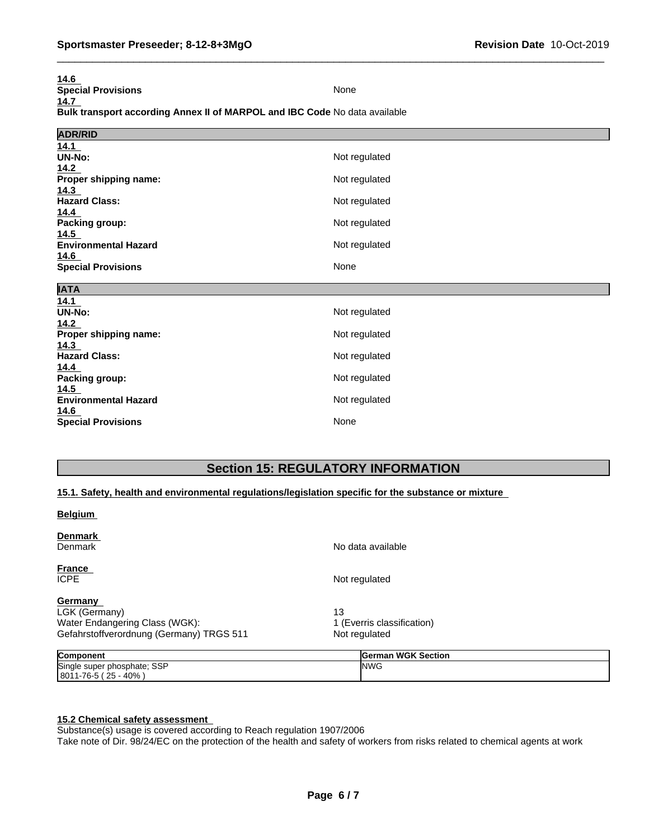| 14.6                                                                       |               |
|----------------------------------------------------------------------------|---------------|
| <b>Special Provisions</b>                                                  | None          |
| 14.7                                                                       |               |
| Bulk transport according Annex II of MARPOL and IBC Code No data available |               |
|                                                                            |               |
| <b>ADR/RID</b>                                                             |               |
| 14.1                                                                       |               |
| UN-No:                                                                     | Not regulated |
| 14.2                                                                       |               |
| Proper shipping name:                                                      | Not regulated |
| 14.3                                                                       |               |
| <b>Hazard Class:</b>                                                       | Not regulated |
| 14.4                                                                       |               |
| Packing group:                                                             | Not regulated |
| 14.5                                                                       |               |
| <b>Environmental Hazard</b>                                                | Not regulated |
| 14.6                                                                       | None          |
| <b>Special Provisions</b>                                                  |               |
| <b>IATA</b>                                                                |               |
| 14.1                                                                       |               |
| UN-No:                                                                     | Not regulated |
| 14.2                                                                       |               |
| Proper shipping name:                                                      | Not regulated |
| 14.3                                                                       |               |
| <b>Hazard Class:</b>                                                       | Not regulated |
| 14.4                                                                       |               |
| Packing group:                                                             | Not regulated |
| 14.5                                                                       |               |
| <b>Environmental Hazard</b>                                                | Not regulated |
| 14.6                                                                       |               |

**Special Provisions** None

## **Section 15: REGULATORY INFORMATION**

## **15.1. Safety, health and environmental regulations/legislation specific for the substance or mixture**

## **Belgium**

| Denmark<br>Denmark                                                                                            | No data available                                 |  |
|---------------------------------------------------------------------------------------------------------------|---------------------------------------------------|--|
| <b>France</b><br>ICPE.                                                                                        | Not regulated                                     |  |
| <b>Germany</b><br>LGK (Germany)<br>Water Endangering Class (WGK):<br>Gefahrstoffverordnung (Germany) TRGS 511 | 13<br>1 (Everris classification)<br>Not regulated |  |
| <b>Component</b><br>Single super phosphate; SSP                                                               | German WGK Section<br><b>INWG</b>                 |  |

# **15.2 Chemical safety assessment**

8011-76-5 ( 25 - 40% )

Substance(s) usage is covered according to Reach regulation 1907/2006

Take note of Dir. 98/24/EC on the protection of the health and safety of workers from risks related to chemical agents at work